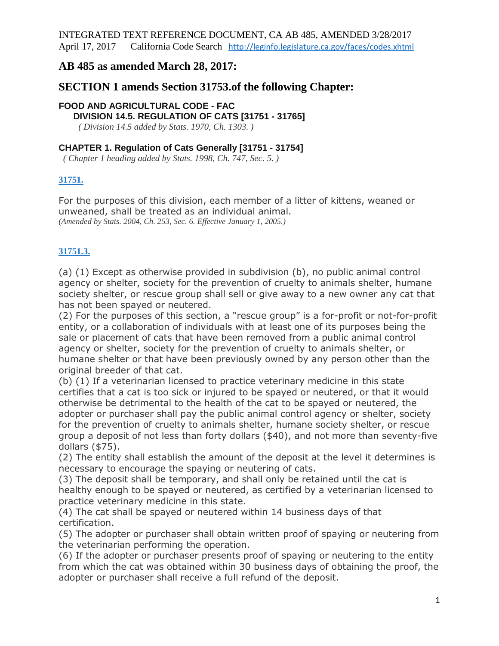# **AB 485 as amended March 28, 2017:**

# **SECTION 1 amends Section 31753.of the following Chapter:**

#### **FOOD AND AGRICULTURAL CODE - FAC DIVISION 14.5. REGULATION OF CATS [31751 - 31765]**

*( Division 14.5 added by Stats. 1970, Ch. 1303. )*

#### **CHAPTER 1. Regulation of Cats Generally [31751 - 31754]**

*( Chapter 1 heading added by Stats. 1998, Ch. 747, Sec. 5. )*

# **[31751.](javascript:submitCodesValues()**

For the purposes of this division, each member of a litter of kittens, weaned or unweaned, shall be treated as an individual animal. *(Amended by Stats. 2004, Ch. 253, Sec. 6. Effective January 1, 2005.)*

# **[31751.3.](javascript:submitCodesValues()**

(a) (1) Except as otherwise provided in subdivision (b), no public animal control agency or shelter, society for the prevention of cruelty to animals shelter, humane society shelter, or rescue group shall sell or give away to a new owner any cat that has not been spayed or neutered.

(2) For the purposes of this section, a "rescue group" is a for-profit or not-for-profit entity, or a collaboration of individuals with at least one of its purposes being the sale or placement of cats that have been removed from a public animal control agency or shelter, society for the prevention of cruelty to animals shelter, or humane shelter or that have been previously owned by any person other than the original breeder of that cat.

(b) (1) If a veterinarian licensed to practice veterinary medicine in this state certifies that a cat is too sick or injured to be spayed or neutered, or that it would otherwise be detrimental to the health of the cat to be spayed or neutered, the adopter or purchaser shall pay the public animal control agency or shelter, society for the prevention of cruelty to animals shelter, humane society shelter, or rescue group a deposit of not less than forty dollars (\$40), and not more than seventy-five dollars (\$75).

(2) The entity shall establish the amount of the deposit at the level it determines is necessary to encourage the spaying or neutering of cats.

(3) The deposit shall be temporary, and shall only be retained until the cat is healthy enough to be spayed or neutered, as certified by a veterinarian licensed to practice veterinary medicine in this state.

(4) The cat shall be spayed or neutered within 14 business days of that certification.

(5) The adopter or purchaser shall obtain written proof of spaying or neutering from the veterinarian performing the operation.

(6) If the adopter or purchaser presents proof of spaying or neutering to the entity from which the cat was obtained within 30 business days of obtaining the proof, the adopter or purchaser shall receive a full refund of the deposit.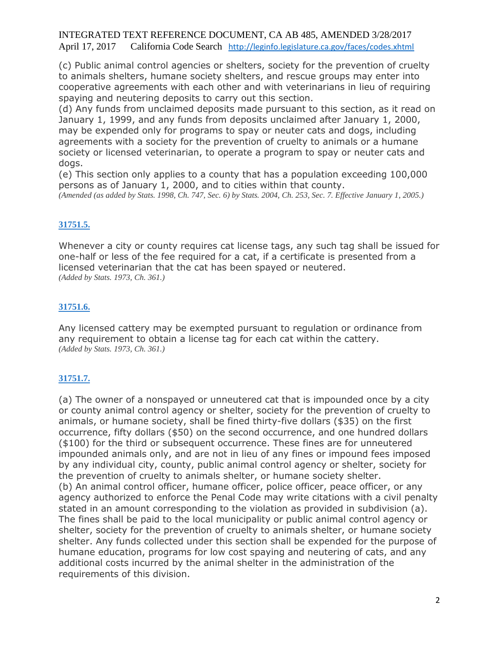(c) Public animal control agencies or shelters, society for the prevention of cruelty to animals shelters, humane society shelters, and rescue groups may enter into cooperative agreements with each other and with veterinarians in lieu of requiring spaying and neutering deposits to carry out this section.

(d) Any funds from unclaimed deposits made pursuant to this section, as it read on January 1, 1999, and any funds from deposits unclaimed after January 1, 2000, may be expended only for programs to spay or neuter cats and dogs, including agreements with a society for the prevention of cruelty to animals or a humane society or licensed veterinarian, to operate a program to spay or neuter cats and dogs.

(e) This section only applies to a county that has a population exceeding 100,000 persons as of January 1, 2000, and to cities within that county.

(Amended (as added by Stats. 1998, Ch. 747, Sec. 6) by Stats. 2004, Ch. 253, Sec. 7. Effective January 1, 2005.)

#### **[31751.5.](javascript:submitCodesValues()**

Whenever a city or county requires cat license tags, any such tag shall be issued for one-half or less of the fee required for a cat, if a certificate is presented from a licensed veterinarian that the cat has been spayed or neutered. *(Added by Stats. 1973, Ch. 361.)*

#### **[31751.6.](javascript:submitCodesValues()**

Any licensed cattery may be exempted pursuant to regulation or ordinance from any requirement to obtain a license tag for each cat within the cattery. *(Added by Stats. 1973, Ch. 361.)*

### **[31751.7.](javascript:submitCodesValues()**

(a) The owner of a nonspayed or unneutered cat that is impounded once by a city or county animal control agency or shelter, society for the prevention of cruelty to animals, or humane society, shall be fined thirty-five dollars (\$35) on the first occurrence, fifty dollars (\$50) on the second occurrence, and one hundred dollars (\$100) for the third or subsequent occurrence. These fines are for unneutered impounded animals only, and are not in lieu of any fines or impound fees imposed by any individual city, county, public animal control agency or shelter, society for the prevention of cruelty to animals shelter, or humane society shelter. (b) An animal control officer, humane officer, police officer, peace officer, or any agency authorized to enforce the Penal Code may write citations with a civil penalty stated in an amount corresponding to the violation as provided in subdivision (a). The fines shall be paid to the local municipality or public animal control agency or shelter, society for the prevention of cruelty to animals shelter, or humane society shelter. Any funds collected under this section shall be expended for the purpose of humane education, programs for low cost spaying and neutering of cats, and any additional costs incurred by the animal shelter in the administration of the requirements of this division.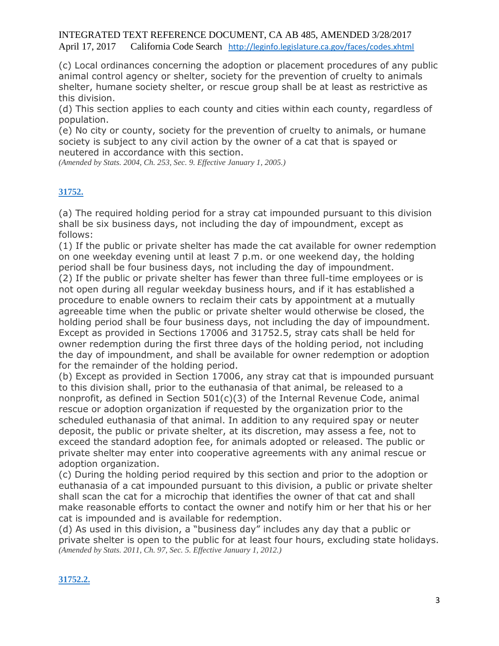(c) Local ordinances concerning the adoption or placement procedures of any public animal control agency or shelter, society for the prevention of cruelty to animals shelter, humane society shelter, or rescue group shall be at least as restrictive as this division.

(d) This section applies to each county and cities within each county, regardless of population.

(e) No city or county, society for the prevention of cruelty to animals, or humane society is subject to any civil action by the owner of a cat that is spayed or neutered in accordance with this section.

*(Amended by Stats. 2004, Ch. 253, Sec. 9. Effective January 1, 2005.)*

### **[31752.](javascript:submitCodesValues()**

(a) The required holding period for a stray cat impounded pursuant to this division shall be six business days, not including the day of impoundment, except as follows:

(1) If the public or private shelter has made the cat available for owner redemption on one weekday evening until at least 7 p.m. or one weekend day, the holding period shall be four business days, not including the day of impoundment. (2) If the public or private shelter has fewer than three full-time employees or is not open during all regular weekday business hours, and if it has established a procedure to enable owners to reclaim their cats by appointment at a mutually agreeable time when the public or private shelter would otherwise be closed, the holding period shall be four business days, not including the day of impoundment. Except as provided in Sections 17006 and 31752.5, stray cats shall be held for owner redemption during the first three days of the holding period, not including the day of impoundment, and shall be available for owner redemption or adoption for the remainder of the holding period.

(b) Except as provided in Section 17006, any stray cat that is impounded pursuant to this division shall, prior to the euthanasia of that animal, be released to a nonprofit, as defined in Section 501(c)(3) of the Internal Revenue Code, animal rescue or adoption organization if requested by the organization prior to the scheduled euthanasia of that animal. In addition to any required spay or neuter deposit, the public or private shelter, at its discretion, may assess a fee, not to exceed the standard adoption fee, for animals adopted or released. The public or private shelter may enter into cooperative agreements with any animal rescue or adoption organization.

(c) During the holding period required by this section and prior to the adoption or euthanasia of a cat impounded pursuant to this division, a public or private shelter shall scan the cat for a microchip that identifies the owner of that cat and shall make reasonable efforts to contact the owner and notify him or her that his or her cat is impounded and is available for redemption.

(d) As used in this division, a "business day" includes any day that a public or private shelter is open to the public for at least four hours, excluding state holidays. *(Amended by Stats. 2011, Ch. 97, Sec. 5. Effective January 1, 2012.)*

### **[31752.2.](javascript:submitCodesValues()**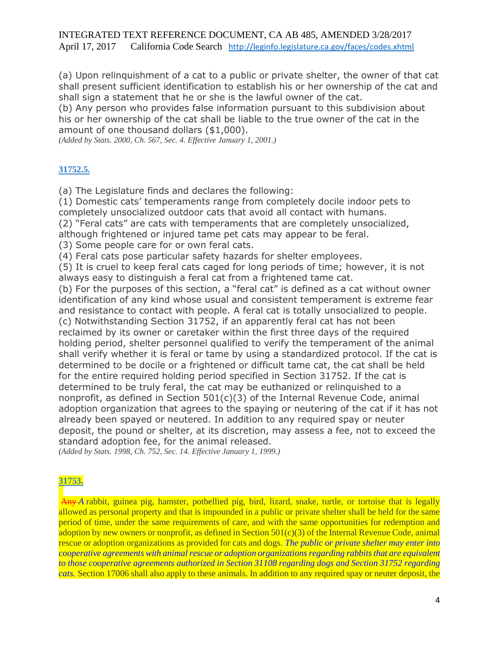(a) Upon relinquishment of a cat to a public or private shelter, the owner of that cat shall present sufficient identification to establish his or her ownership of the cat and shall sign a statement that he or she is the lawful owner of the cat.

(b) Any person who provides false information pursuant to this subdivision about his or her ownership of the cat shall be liable to the true owner of the cat in the amount of one thousand dollars (\$1,000).

*(Added by Stats. 2000, Ch. 567, Sec. 4. Effective January 1, 2001.)*

#### **[31752.5.](javascript:submitCodesValues()**

(a) The Legislature finds and declares the following:

(1) Domestic cats' temperaments range from completely docile indoor pets to completely unsocialized outdoor cats that avoid all contact with humans. (2) "Feral cats" are cats with temperaments that are completely unsocialized,

although frightened or injured tame pet cats may appear to be feral.

(3) Some people care for or own feral cats.

(4) Feral cats pose particular safety hazards for shelter employees.

(5) It is cruel to keep feral cats caged for long periods of time; however, it is not always easy to distinguish a feral cat from a frightened tame cat.

(b) For the purposes of this section, a "feral cat" is defined as a cat without owner identification of any kind whose usual and consistent temperament is extreme fear and resistance to contact with people. A feral cat is totally unsocialized to people. (c) Notwithstanding Section 31752, if an apparently feral cat has not been reclaimed by its owner or caretaker within the first three days of the required holding period, shelter personnel qualified to verify the temperament of the animal shall verify whether it is feral or tame by using a standardized protocol. If the cat is determined to be docile or a frightened or difficult tame cat, the cat shall be held for the entire required holding period specified in Section 31752. If the cat is determined to be truly feral, the cat may be euthanized or relinquished to a nonprofit, as defined in Section 501(c)(3) of the Internal Revenue Code, animal adoption organization that agrees to the spaying or neutering of the cat if it has not already been spayed or neutered. In addition to any required spay or neuter deposit, the pound or shelter, at its discretion, may assess a fee, not to exceed the standard adoption fee, for the animal released.

*(Added by Stats. 1998, Ch. 752, Sec. 14. Effective January 1, 1999.)*

#### **[31753.](javascript:submitCodesValues()**

Any *A* rabbit, guinea pig, hamster, potbellied pig, bird, lizard, snake, turtle, or tortoise that is legally allowed as personal property and that is impounded in a public or private shelter shall be held for the same period of time, under the same requirements of care, and with the same opportunities for redemption and adoption by new owners or nonprofit, as defined in Section  $501(c)(3)$  of the Internal Revenue Code, animal rescue or adoption organizations as provided for cats and dogs. *The public or private shelter may enter into cooperative agreements with animalrescue or adoption organizationsregarding rabbitsthat are equivalent to those cooperative agreements authorized in Section 31108 regarding dogs and Section 31752 regarding cats.* Section 17006 shall also apply to these animals. In addition to any required spay or neuter deposit, the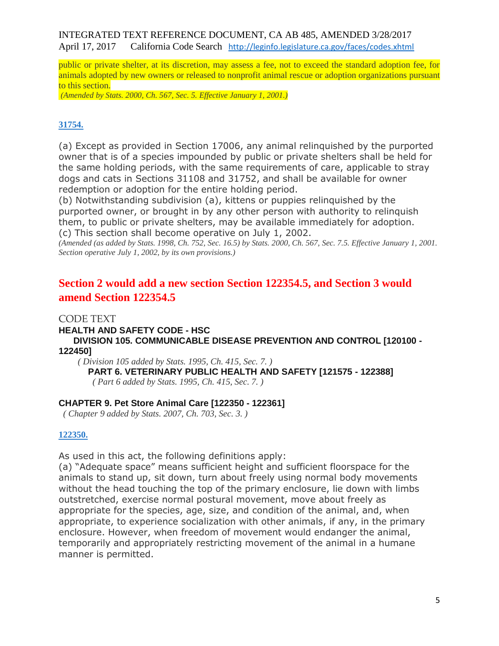public or private shelter, at its discretion, may assess a fee, not to exceed the standard adoption fee, for animals adopted by new owners or released to nonprofit animal rescue or adoption organizations pursuant to this section.

*(Amended by Stats. 2000, Ch. 567, Sec. 5. Effective January 1, 2001.)*

### **[31754.](javascript:submitCodesValues()**

(a) Except as provided in Section 17006, any animal relinquished by the purported owner that is of a species impounded by public or private shelters shall be held for the same holding periods, with the same requirements of care, applicable to stray dogs and cats in Sections 31108 and 31752, and shall be available for owner redemption or adoption for the entire holding period.

(b) Notwithstanding subdivision (a), kittens or puppies relinquished by the purported owner, or brought in by any other person with authority to relinquish them, to public or private shelters, may be available immediately for adoption. (c) This section shall become operative on July 1, 2002.

(Amended (as added by Stats. 1998, Ch. 752, Sec. 16.5) by Stats. 2000, Ch. 567, Sec. 7.5. Effective January 1, 2001. *Section operative July 1, 2002, by its own provisions.)*

# **Section 2 would add a new section Section 122354.5, and Section 3 would amend Section 122354.5**

CODE TEXT

**HEALTH AND SAFETY CODE - HSC**

**DIVISION 105. COMMUNICABLE DISEASE PREVENTION AND CONTROL [120100 - 122450]**

 *( Division 105 added by Stats. 1995, Ch. 415, Sec. 7. )* **PART 6. VETERINARY PUBLIC HEALTH AND SAFETY [121575 - 122388]** *( Part 6 added by Stats. 1995, Ch. 415, Sec. 7. )*

#### **CHAPTER 9. Pet Store Animal Care [122350 - 122361]**

*( Chapter 9 added by Stats. 2007, Ch. 703, Sec. 3. )*

#### **[122350.](javascript:submitCodesValues()**

As used in this act, the following definitions apply:

(a) "Adequate space" means sufficient height and sufficient floorspace for the animals to stand up, sit down, turn about freely using normal body movements without the head touching the top of the primary enclosure, lie down with limbs outstretched, exercise normal postural movement, move about freely as appropriate for the species, age, size, and condition of the animal, and, when appropriate, to experience socialization with other animals, if any, in the primary enclosure. However, when freedom of movement would endanger the animal, temporarily and appropriately restricting movement of the animal in a humane manner is permitted.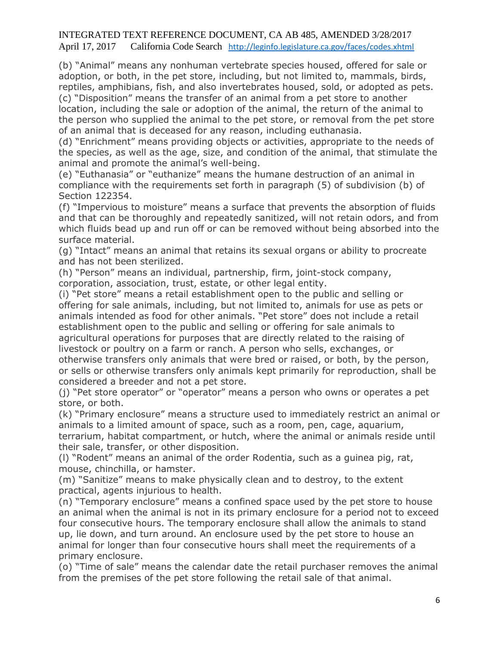(b) "Animal" means any nonhuman vertebrate species housed, offered for sale or adoption, or both, in the pet store, including, but not limited to, mammals, birds, reptiles, amphibians, fish, and also invertebrates housed, sold, or adopted as pets. (c) "Disposition" means the transfer of an animal from a pet store to another location, including the sale or adoption of the animal, the return of the animal to the person who supplied the animal to the pet store, or removal from the pet store of an animal that is deceased for any reason, including euthanasia.

(d) "Enrichment" means providing objects or activities, appropriate to the needs of the species, as well as the age, size, and condition of the animal, that stimulate the animal and promote the animal's well-being.

(e) "Euthanasia" or "euthanize" means the humane destruction of an animal in compliance with the requirements set forth in paragraph (5) of subdivision (b) of Section 122354.

(f) "Impervious to moisture" means a surface that prevents the absorption of fluids and that can be thoroughly and repeatedly sanitized, will not retain odors, and from which fluids bead up and run off or can be removed without being absorbed into the surface material.

(g) "Intact" means an animal that retains its sexual organs or ability to procreate and has not been sterilized.

(h) "Person" means an individual, partnership, firm, joint-stock company, corporation, association, trust, estate, or other legal entity.

(i) "Pet store" means a retail establishment open to the public and selling or offering for sale animals, including, but not limited to, animals for use as pets or animals intended as food for other animals. "Pet store" does not include a retail establishment open to the public and selling or offering for sale animals to agricultural operations for purposes that are directly related to the raising of livestock or poultry on a farm or ranch. A person who sells, exchanges, or otherwise transfers only animals that were bred or raised, or both, by the person, or sells or otherwise transfers only animals kept primarily for reproduction, shall be considered a breeder and not a pet store.

(j) "Pet store operator" or "operator" means a person who owns or operates a pet store, or both.

(k) "Primary enclosure" means a structure used to immediately restrict an animal or animals to a limited amount of space, such as a room, pen, cage, aquarium, terrarium, habitat compartment, or hutch, where the animal or animals reside until their sale, transfer, or other disposition.

(l) "Rodent" means an animal of the order Rodentia, such as a guinea pig, rat, mouse, chinchilla, or hamster.

(m) "Sanitize" means to make physically clean and to destroy, to the extent practical, agents injurious to health.

(n) "Temporary enclosure" means a confined space used by the pet store to house an animal when the animal is not in its primary enclosure for a period not to exceed four consecutive hours. The temporary enclosure shall allow the animals to stand up, lie down, and turn around. An enclosure used by the pet store to house an animal for longer than four consecutive hours shall meet the requirements of a primary enclosure.

(o) "Time of sale" means the calendar date the retail purchaser removes the animal from the premises of the pet store following the retail sale of that animal.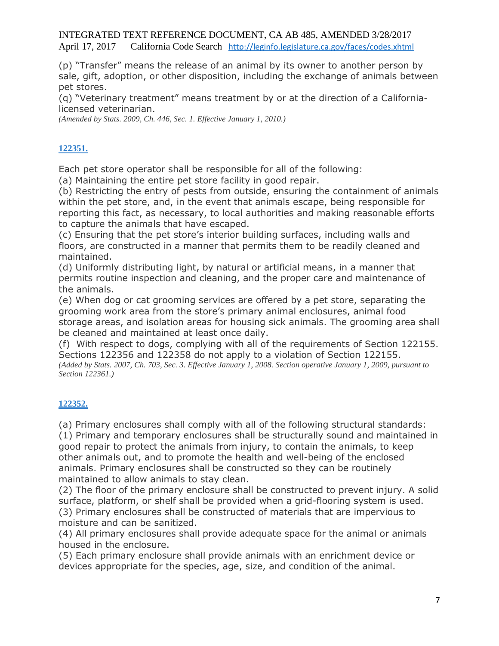(p) "Transfer" means the release of an animal by its owner to another person by sale, gift, adoption, or other disposition, including the exchange of animals between pet stores.

(q) "Veterinary treatment" means treatment by or at the direction of a Californialicensed veterinarian.

*(Amended by Stats. 2009, Ch. 446, Sec. 1. Effective January 1, 2010.)*

### **[122351.](javascript:submitCodesValues()**

Each pet store operator shall be responsible for all of the following:

(a) Maintaining the entire pet store facility in good repair.

(b) Restricting the entry of pests from outside, ensuring the containment of animals within the pet store, and, in the event that animals escape, being responsible for reporting this fact, as necessary, to local authorities and making reasonable efforts to capture the animals that have escaped.

(c) Ensuring that the pet store's interior building surfaces, including walls and floors, are constructed in a manner that permits them to be readily cleaned and maintained.

(d) Uniformly distributing light, by natural or artificial means, in a manner that permits routine inspection and cleaning, and the proper care and maintenance of the animals.

(e) When dog or cat grooming services are offered by a pet store, separating the grooming work area from the store's primary animal enclosures, animal food storage areas, and isolation areas for housing sick animals. The grooming area shall be cleaned and maintained at least once daily.

(f) With respect to dogs, complying with all of the requirements of Section 122155. Sections 122356 and 122358 do not apply to a violation of Section 122155. (Added by Stats. 2007, Ch. 703, Sec. 3. Effective January 1, 2008. Section operative January 1, 2009, pursuant to *Section 122361.)*

# **[122352.](javascript:submitCodesValues()**

(a) Primary enclosures shall comply with all of the following structural standards: (1) Primary and temporary enclosures shall be structurally sound and maintained in good repair to protect the animals from injury, to contain the animals, to keep other animals out, and to promote the health and well-being of the enclosed animals. Primary enclosures shall be constructed so they can be routinely maintained to allow animals to stay clean.

(2) The floor of the primary enclosure shall be constructed to prevent injury. A solid surface, platform, or shelf shall be provided when a grid-flooring system is used. (3) Primary enclosures shall be constructed of materials that are impervious to moisture and can be sanitized.

(4) All primary enclosures shall provide adequate space for the animal or animals housed in the enclosure.

(5) Each primary enclosure shall provide animals with an enrichment device or devices appropriate for the species, age, size, and condition of the animal.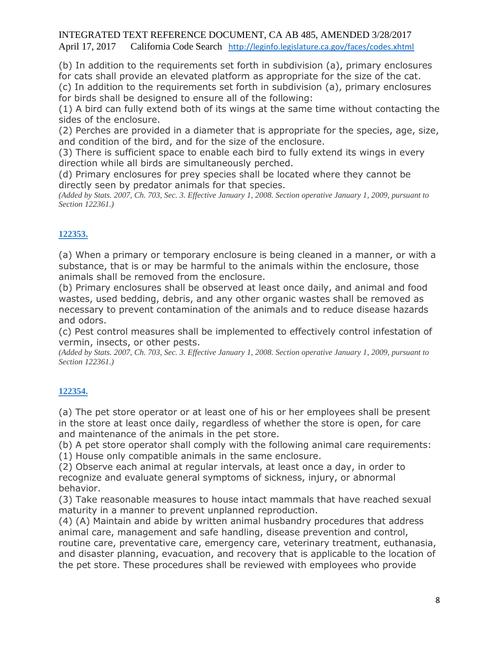(b) In addition to the requirements set forth in subdivision (a), primary enclosures for cats shall provide an elevated platform as appropriate for the size of the cat.

(c) In addition to the requirements set forth in subdivision (a), primary enclosures for birds shall be designed to ensure all of the following:

(1) A bird can fully extend both of its wings at the same time without contacting the sides of the enclosure.

(2) Perches are provided in a diameter that is appropriate for the species, age, size, and condition of the bird, and for the size of the enclosure.

(3) There is sufficient space to enable each bird to fully extend its wings in every direction while all birds are simultaneously perched.

(d) Primary enclosures for prey species shall be located where they cannot be directly seen by predator animals for that species.

(Added by Stats. 2007, Ch. 703, Sec. 3. Effective January 1, 2008. Section operative January 1, 2009, pursuant to *Section 122361.)*

# **[122353.](javascript:submitCodesValues()**

(a) When a primary or temporary enclosure is being cleaned in a manner, or with a substance, that is or may be harmful to the animals within the enclosure, those animals shall be removed from the enclosure.

(b) Primary enclosures shall be observed at least once daily, and animal and food wastes, used bedding, debris, and any other organic wastes shall be removed as necessary to prevent contamination of the animals and to reduce disease hazards and odors.

(c) Pest control measures shall be implemented to effectively control infestation of vermin, insects, or other pests.

(Added by Stats. 2007, Ch. 703, Sec. 3. Effective January 1, 2008. Section operative January 1, 2009, pursuant to *Section 122361.)*

# **[122354.](javascript:submitCodesValues()**

(a) The pet store operator or at least one of his or her employees shall be present in the store at least once daily, regardless of whether the store is open, for care and maintenance of the animals in the pet store.

(b) A pet store operator shall comply with the following animal care requirements: (1) House only compatible animals in the same enclosure.

(2) Observe each animal at regular intervals, at least once a day, in order to recognize and evaluate general symptoms of sickness, injury, or abnormal behavior.

(3) Take reasonable measures to house intact mammals that have reached sexual maturity in a manner to prevent unplanned reproduction.

(4) (A) Maintain and abide by written animal husbandry procedures that address animal care, management and safe handling, disease prevention and control, routine care, preventative care, emergency care, veterinary treatment, euthanasia, and disaster planning, evacuation, and recovery that is applicable to the location of the pet store. These procedures shall be reviewed with employees who provide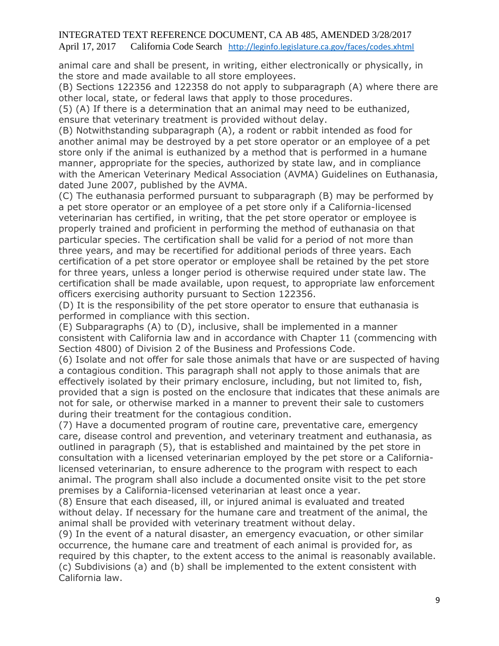animal care and shall be present, in writing, either electronically or physically, in the store and made available to all store employees.

(B) Sections 122356 and 122358 do not apply to subparagraph (A) where there are other local, state, or federal laws that apply to those procedures.

(5) (A) If there is a determination that an animal may need to be euthanized, ensure that veterinary treatment is provided without delay.

(B) Notwithstanding subparagraph (A), a rodent or rabbit intended as food for another animal may be destroyed by a pet store operator or an employee of a pet store only if the animal is euthanized by a method that is performed in a humane manner, appropriate for the species, authorized by state law, and in compliance with the American Veterinary Medical Association (AVMA) Guidelines on Euthanasia, dated June 2007, published by the AVMA.

(C) The euthanasia performed pursuant to subparagraph (B) may be performed by a pet store operator or an employee of a pet store only if a California-licensed veterinarian has certified, in writing, that the pet store operator or employee is properly trained and proficient in performing the method of euthanasia on that particular species. The certification shall be valid for a period of not more than three years, and may be recertified for additional periods of three years. Each certification of a pet store operator or employee shall be retained by the pet store for three years, unless a longer period is otherwise required under state law. The certification shall be made available, upon request, to appropriate law enforcement officers exercising authority pursuant to Section 122356.

(D) It is the responsibility of the pet store operator to ensure that euthanasia is performed in compliance with this section.

(E) Subparagraphs (A) to (D), inclusive, shall be implemented in a manner consistent with California law and in accordance with Chapter 11 (commencing with Section 4800) of Division 2 of the Business and Professions Code.

(6) Isolate and not offer for sale those animals that have or are suspected of having a contagious condition. This paragraph shall not apply to those animals that are effectively isolated by their primary enclosure, including, but not limited to, fish, provided that a sign is posted on the enclosure that indicates that these animals are not for sale, or otherwise marked in a manner to prevent their sale to customers during their treatment for the contagious condition.

(7) Have a documented program of routine care, preventative care, emergency care, disease control and prevention, and veterinary treatment and euthanasia, as outlined in paragraph (5), that is established and maintained by the pet store in consultation with a licensed veterinarian employed by the pet store or a Californialicensed veterinarian, to ensure adherence to the program with respect to each animal. The program shall also include a documented onsite visit to the pet store premises by a California-licensed veterinarian at least once a year.

(8) Ensure that each diseased, ill, or injured animal is evaluated and treated without delay. If necessary for the humane care and treatment of the animal, the animal shall be provided with veterinary treatment without delay.

(9) In the event of a natural disaster, an emergency evacuation, or other similar occurrence, the humane care and treatment of each animal is provided for, as required by this chapter, to the extent access to the animal is reasonably available. (c) Subdivisions (a) and (b) shall be implemented to the extent consistent with California law.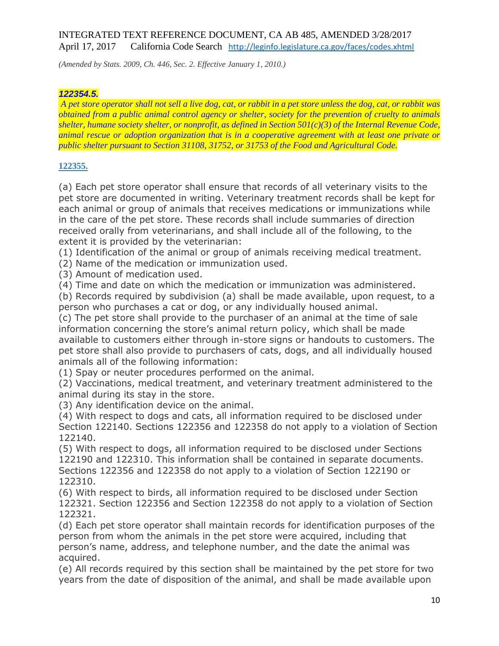# INTEGRATED TEXT REFERENCE DOCUMENT, CA AB 485, AMENDED 3/28/2017

April 17, 2017 California Code Search <http://leginfo.legislature.ca.gov/faces/codes.xhtml>

*(Amended by Stats. 2009, Ch. 446, Sec. 2. Effective January 1, 2010.)*

#### *122354.5.*

A pet store operator shall not sell a live dog, cat, or rabbit in a pet store unless the dog, cat, or rabbit was *obtained from a public animal control agency or shelter, society for the prevention of cruelty to animals shelter, humane society shelter, or nonprofit, as defined in Section 501(c)(3) of the Internal Revenue Code, animal rescue or adoption organization that is in a cooperative agreement with at least one private or public shelter pursuant to Section 31108, 31752, or 31753 of the Food and Agricultural Code.*

### **[122355.](javascript:submitCodesValues()**

(a) Each pet store operator shall ensure that records of all veterinary visits to the pet store are documented in writing. Veterinary treatment records shall be kept for each animal or group of animals that receives medications or immunizations while in the care of the pet store. These records shall include summaries of direction received orally from veterinarians, and shall include all of the following, to the extent it is provided by the veterinarian:

(1) Identification of the animal or group of animals receiving medical treatment.

(2) Name of the medication or immunization used.

(3) Amount of medication used.

(4) Time and date on which the medication or immunization was administered.

(b) Records required by subdivision (a) shall be made available, upon request, to a person who purchases a cat or dog, or any individually housed animal.

(c) The pet store shall provide to the purchaser of an animal at the time of sale information concerning the store's animal return policy, which shall be made available to customers either through in-store signs or handouts to customers. The pet store shall also provide to purchasers of cats, dogs, and all individually housed animals all of the following information:

(1) Spay or neuter procedures performed on the animal.

(2) Vaccinations, medical treatment, and veterinary treatment administered to the animal during its stay in the store.

(3) Any identification device on the animal.

(4) With respect to dogs and cats, all information required to be disclosed under Section 122140. Sections 122356 and 122358 do not apply to a violation of Section 122140.

(5) With respect to dogs, all information required to be disclosed under Sections 122190 and 122310. This information shall be contained in separate documents. Sections 122356 and 122358 do not apply to a violation of Section 122190 or 122310.

(6) With respect to birds, all information required to be disclosed under Section 122321. Section 122356 and Section 122358 do not apply to a violation of Section 122321.

(d) Each pet store operator shall maintain records for identification purposes of the person from whom the animals in the pet store were acquired, including that person's name, address, and telephone number, and the date the animal was acquired.

(e) All records required by this section shall be maintained by the pet store for two years from the date of disposition of the animal, and shall be made available upon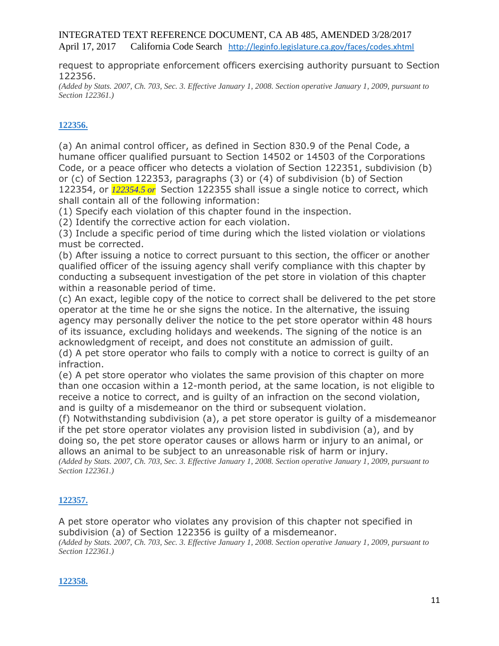#### INTEGRATED TEXT REFERENCE DOCUMENT, CA AB 485, AMENDED 3/28/2017

April 17, 2017 California Code Search <http://leginfo.legislature.ca.gov/faces/codes.xhtml>

request to appropriate enforcement officers exercising authority pursuant to Section 122356.

(Added by Stats. 2007, Ch. 703, Sec. 3. Effective January 1, 2008. Section operative January 1, 2009, pursuant to *Section 122361.)*

## **[122356.](javascript:submitCodesValues()**

(a) An animal control officer, as defined in Section 830.9 of the Penal Code, a humane officer qualified pursuant to Section 14502 or 14503 of the Corporations Code, or a peace officer who detects a violation of Section 122351, subdivision (b) or (c) of Section 122353, paragraphs (3) or (4) of subdivision (b) of Section 122354, or *122354.5 or* Section 122355 shall issue a single notice to correct, which shall contain all of the following information:

(1) Specify each violation of this chapter found in the inspection.

(2) Identify the corrective action for each violation.

(3) Include a specific period of time during which the listed violation or violations must be corrected.

(b) After issuing a notice to correct pursuant to this section, the officer or another qualified officer of the issuing agency shall verify compliance with this chapter by conducting a subsequent investigation of the pet store in violation of this chapter within a reasonable period of time.

(c) An exact, legible copy of the notice to correct shall be delivered to the pet store operator at the time he or she signs the notice. In the alternative, the issuing agency may personally deliver the notice to the pet store operator within 48 hours of its issuance, excluding holidays and weekends. The signing of the notice is an acknowledgment of receipt, and does not constitute an admission of guilt.

(d) A pet store operator who fails to comply with a notice to correct is guilty of an infraction.

(e) A pet store operator who violates the same provision of this chapter on more than one occasion within a 12-month period, at the same location, is not eligible to receive a notice to correct, and is guilty of an infraction on the second violation, and is guilty of a misdemeanor on the third or subsequent violation.

(f) Notwithstanding subdivision (a), a pet store operator is guilty of a misdemeanor if the pet store operator violates any provision listed in subdivision (a), and by doing so, the pet store operator causes or allows harm or injury to an animal, or allows an animal to be subject to an unreasonable risk of harm or injury. (Added by Stats. 2007, Ch. 703, Sec. 3. Effective January 1, 2008. Section operative January 1, 2009, pursuant to *Section 122361.)*

# **[122357.](javascript:submitCodesValues()**

A pet store operator who violates any provision of this chapter not specified in subdivision (a) of Section 122356 is guilty of a misdemeanor. (Added by Stats. 2007, Ch. 703, Sec. 3. Effective January 1, 2008. Section operative January 1, 2009, pursuant to *Section 122361.)*

### **[122358.](javascript:submitCodesValues()**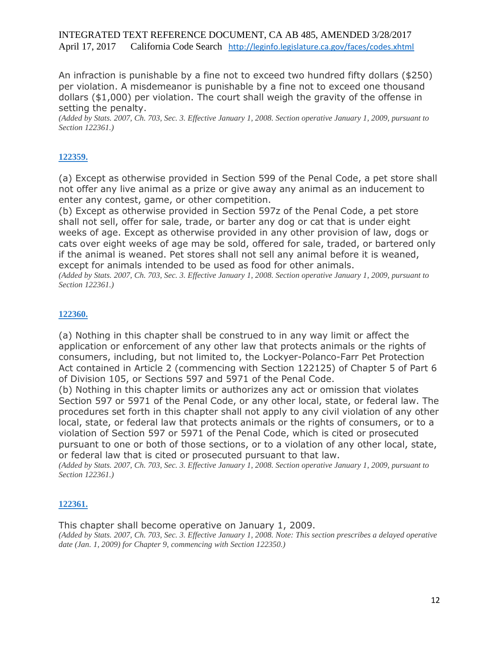An infraction is punishable by a fine not to exceed two hundred fifty dollars (\$250) per violation. A misdemeanor is punishable by a fine not to exceed one thousand dollars (\$1,000) per violation. The court shall weigh the gravity of the offense in setting the penalty.

(Added by Stats. 2007, Ch. 703, Sec. 3. Effective January 1, 2008. Section operative January 1, 2009, pursuant to *Section 122361.)*

#### **[122359.](javascript:submitCodesValues()**

(a) Except as otherwise provided in Section 599 of the Penal Code, a pet store shall not offer any live animal as a prize or give away any animal as an inducement to enter any contest, game, or other competition.

(b) Except as otherwise provided in Section 597z of the Penal Code, a pet store shall not sell, offer for sale, trade, or barter any dog or cat that is under eight weeks of age. Except as otherwise provided in any other provision of law, dogs or cats over eight weeks of age may be sold, offered for sale, traded, or bartered only if the animal is weaned. Pet stores shall not sell any animal before it is weaned, except for animals intended to be used as food for other animals.

(Added by Stats. 2007, Ch. 703, Sec. 3. Effective January 1, 2008. Section operative January 1, 2009, pursuant to *Section 122361.)*

#### **[122360.](javascript:submitCodesValues()**

(a) Nothing in this chapter shall be construed to in any way limit or affect the application or enforcement of any other law that protects animals or the rights of consumers, including, but not limited to, the Lockyer-Polanco-Farr Pet Protection Act contained in Article 2 (commencing with Section 122125) of Chapter 5 of Part 6 of Division 105, or Sections 597 and 5971 of the Penal Code.

(b) Nothing in this chapter limits or authorizes any act or omission that violates Section 597 or 5971 of the Penal Code, or any other local, state, or federal law. The procedures set forth in this chapter shall not apply to any civil violation of any other local, state, or federal law that protects animals or the rights of consumers, or to a violation of Section 597 or 5971 of the Penal Code, which is cited or prosecuted pursuant to one or both of those sections, or to a violation of any other local, state, or federal law that is cited or prosecuted pursuant to that law.

(Added by Stats. 2007, Ch. 703, Sec. 3. Effective January 1, 2008. Section operative January 1, 2009, pursuant to *Section 122361.)*

#### **[122361.](javascript:submitCodesValues()**

This chapter shall become operative on January 1, 2009. (Added by Stats. 2007, Ch. 703, Sec. 3. Effective January 1, 2008. Note: This section prescribes a delayed operative *date (Jan. 1, 2009) for Chapter 9, commencing with Section 122350.)*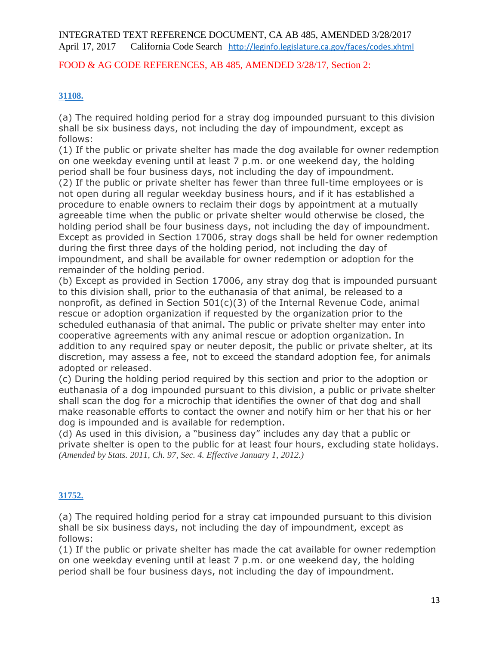FOOD & AG CODE REFERENCES, AB 485, AMENDED 3/28/17, Section 2:

# **[31108.](javascript:submitCodesValues()**

(a) The required holding period for a stray dog impounded pursuant to this division shall be six business days, not including the day of impoundment, except as follows:

(1) If the public or private shelter has made the dog available for owner redemption on one weekday evening until at least 7 p.m. or one weekend day, the holding period shall be four business days, not including the day of impoundment. (2) If the public or private shelter has fewer than three full-time employees or is not open during all regular weekday business hours, and if it has established a procedure to enable owners to reclaim their dogs by appointment at a mutually agreeable time when the public or private shelter would otherwise be closed, the holding period shall be four business days, not including the day of impoundment. Except as provided in Section 17006, stray dogs shall be held for owner redemption during the first three days of the holding period, not including the day of impoundment, and shall be available for owner redemption or adoption for the remainder of the holding period.

(b) Except as provided in Section 17006, any stray dog that is impounded pursuant to this division shall, prior to the euthanasia of that animal, be released to a nonprofit, as defined in Section  $501(c)(3)$  of the Internal Revenue Code, animal rescue or adoption organization if requested by the organization prior to the scheduled euthanasia of that animal. The public or private shelter may enter into cooperative agreements with any animal rescue or adoption organization. In addition to any required spay or neuter deposit, the public or private shelter, at its discretion, may assess a fee, not to exceed the standard adoption fee, for animals adopted or released.

(c) During the holding period required by this section and prior to the adoption or euthanasia of a dog impounded pursuant to this division, a public or private shelter shall scan the dog for a microchip that identifies the owner of that dog and shall make reasonable efforts to contact the owner and notify him or her that his or her dog is impounded and is available for redemption.

(d) As used in this division, a "business day" includes any day that a public or private shelter is open to the public for at least four hours, excluding state holidays. *(Amended by Stats. 2011, Ch. 97, Sec. 4. Effective January 1, 2012.)*

# **[31752.](javascript:submitCodesValues()**

(a) The required holding period for a stray cat impounded pursuant to this division shall be six business days, not including the day of impoundment, except as follows:

(1) If the public or private shelter has made the cat available for owner redemption on one weekday evening until at least 7 p.m. or one weekend day, the holding period shall be four business days, not including the day of impoundment.